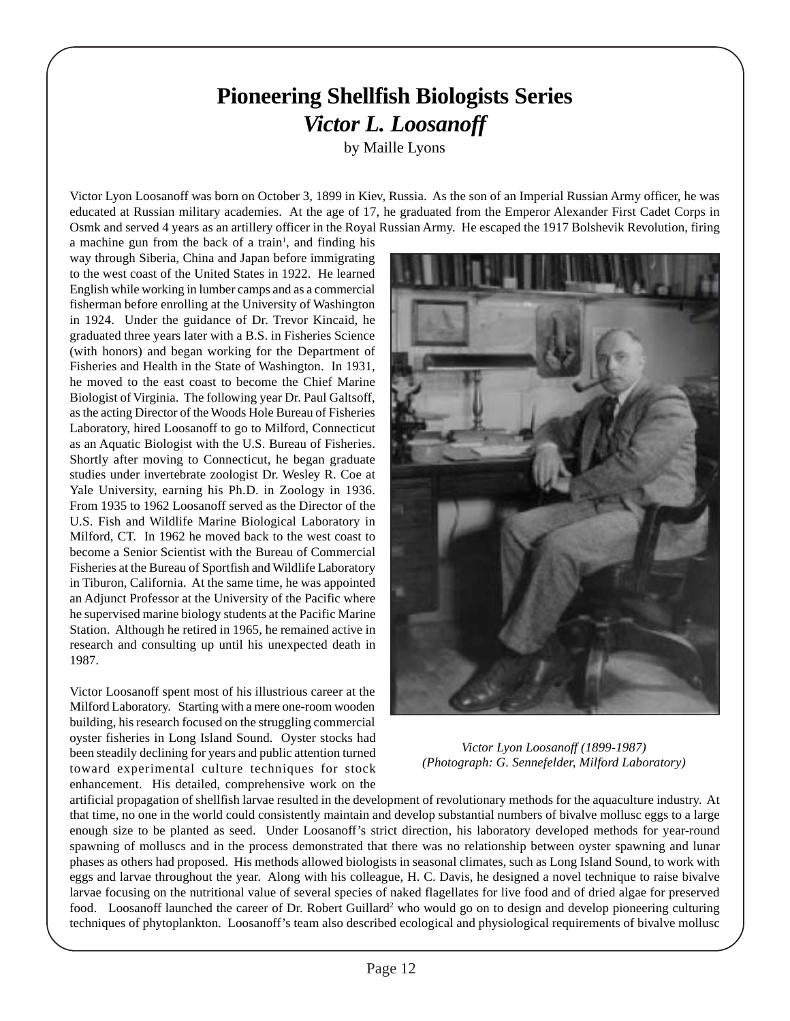## **Pioneering Shellfish Biologists Series** *Victor L. Loosanoff*

by Maille Lyons

Victor Lyon Loosanoff was born on October 3, 1899 in Kiev, Russia. As the son of an Imperial Russian Army officer, he was educated at Russian military academies. At the age of 17, he graduated from the Emperor Alexander First Cadet Corps in Osmk and served 4 years as an artillery officer in the Royal Russian Army. He escaped the 1917 Bolshevik Revolution, firing

a machine gun from the back of a train<sup>1</sup>, and finding his way through Siberia, China and Japan before immigrating to the west coast of the United States in 1922. He learned English while working in lumber camps and as a commercial fisherman before enrolling at the University of Washington in 1924. Under the guidance of Dr. Trevor Kincaid, he graduated three years later with a B.S. in Fisheries Science (with honors) and began working for the Department of Fisheries and Health in the State of Washington. In 1931, he moved to the east coast to become the Chief Marine Biologist of Virginia. The following year Dr. Paul Galtsoff, as the acting Director of the Woods Hole Bureau of Fisheries Laboratory, hired Loosanoff to go to Milford, Connecticut as an Aquatic Biologist with the U.S. Bureau of Fisheries. Shortly after moving to Connecticut, he began graduate studies under invertebrate zoologist Dr. Wesley R. Coe at Yale University, earning his Ph.D. in Zoology in 1936. From 1935 to 1962 Loosanoff served as the Director of the U.S. Fish and Wildlife Marine Biological Laboratory in Milford, CT. In 1962 he moved back to the west coast to become a Senior Scientist with the Bureau of Commercial Fisheries at the Bureau of Sportfish and Wildlife Laboratory in Tiburon, California. At the same time, he was appointed an Adjunct Professor at the University of the Pacific where he supervised marine biology students at the Pacific Marine Station. Although he retired in 1965, he remained active in research and consulting up until his unexpected death in 1987.

Victor Loosanoff spent most of his illustrious career at the Milford Laboratory. Starting with a mere one-room wooden building, his research focused on the struggling commercial oyster fisheries in Long Island Sound. Oyster stocks had been steadily declining for years and public attention turned toward experimental culture techniques for stock enhancement. His detailed, comprehensive work on the



*Victor Lyon Loosanoff (1899-1987) (Photograph: G. Sennefelder, Milford Laboratory)*

artificial propagation of shellfish larvae resulted in the development of revolutionary methods for the aquaculture industry. At that time, no one in the world could consistently maintain and develop substantial numbers of bivalve mollusc eggs to a large enough size to be planted as seed. Under Loosanoff's strict direction, his laboratory developed methods for year-round spawning of molluscs and in the process demonstrated that there was no relationship between oyster spawning and lunar phases as others had proposed. His methods allowed biologists in seasonal climates, such as Long Island Sound, to work with eggs and larvae throughout the year. Along with his colleague, H. C. Davis, he designed a novel technique to raise bivalve larvae focusing on the nutritional value of several species of naked flagellates for live food and of dried algae for preserved food. Loosanoff launched the career of Dr. Robert Guillard<sup>2</sup> who would go on to design and develop pioneering culturing techniques of phytoplankton. Loosanoff's team also described ecological and physiological requirements of bivalve mollusc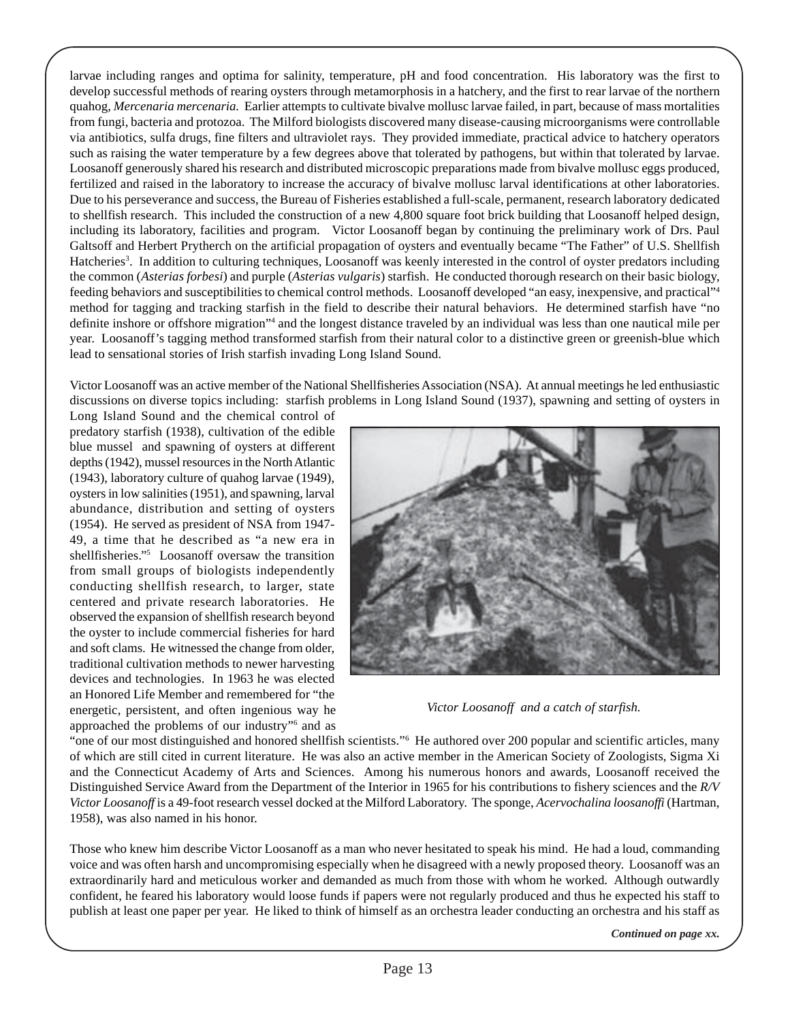larvae including ranges and optima for salinity, temperature, pH and food concentration. His laboratory was the first to develop successful methods of rearing oysters through metamorphosis in a hatchery, and the first to rear larvae of the northern quahog, *Mercenaria mercenaria.* Earlier attempts to cultivate bivalve mollusc larvae failed, in part, because of mass mortalities from fungi, bacteria and protozoa. The Milford biologists discovered many disease-causing microorganisms were controllable via antibiotics, sulfa drugs, fine filters and ultraviolet rays. They provided immediate, practical advice to hatchery operators such as raising the water temperature by a few degrees above that tolerated by pathogens, but within that tolerated by larvae. Loosanoff generously shared his research and distributed microscopic preparations made from bivalve mollusc eggs produced, fertilized and raised in the laboratory to increase the accuracy of bivalve mollusc larval identifications at other laboratories. Due to his perseverance and success, the Bureau of Fisheries established a full-scale, permanent, research laboratory dedicated to shellfish research. This included the construction of a new 4,800 square foot brick building that Loosanoff helped design, including its laboratory, facilities and program. Victor Loosanoff began by continuing the preliminary work of Drs. Paul Galtsoff and Herbert Prytherch on the artificial propagation of oysters and eventually became "The Father" of U.S. Shellfish Hatcheries<sup>3</sup>. In addition to culturing techniques, Loosanoff was keenly interested in the control of oyster predators including the common (*Asterias forbesi*) and purple (*Asterias vulgaris*) starfish. He conducted thorough research on their basic biology, feeding behaviors and susceptibilities to chemical control methods. Loosanoff developed "an easy, inexpensive, and practical"4 method for tagging and tracking starfish in the field to describe their natural behaviors. He determined starfish have "no definite inshore or offshore migration"<sup>4</sup> and the longest distance traveled by an individual was less than one nautical mile per year. Loosanoff's tagging method transformed starfish from their natural color to a distinctive green or greenish-blue which lead to sensational stories of Irish starfish invading Long Island Sound.

Victor Loosanoff was an active member of the National Shellfisheries Association (NSA). At annual meetings he led enthusiastic discussions on diverse topics including: starfish problems in Long Island Sound (1937), spawning and setting of oysters in

Long Island Sound and the chemical control of predatory starfish (1938), cultivation of the edible blue mussel and spawning of oysters at different depths (1942), mussel resources in the North Atlantic (1943), laboratory culture of quahog larvae (1949), oysters in low salinities (1951), and spawning, larval abundance, distribution and setting of oysters (1954). He served as president of NSA from 1947- 49, a time that he described as "a new era in shellfisheries."5 Loosanoff oversaw the transition from small groups of biologists independently conducting shellfish research, to larger, state centered and private research laboratories. He observed the expansion of shellfish research beyond the oyster to include commercial fisheries for hard and soft clams. He witnessed the change from older, traditional cultivation methods to newer harvesting devices and technologies. In 1963 he was elected an Honored Life Member and remembered for "the energetic, persistent, and often ingenious way he approached the problems of our industry"<sup>6</sup> and as



*Victor Loosanoff and a catch of starfish.*

"one of our most distinguished and honored shellfish scientists."6 He authored over 200 popular and scientific articles, many of which are still cited in current literature. He was also an active member in the American Society of Zoologists, Sigma Xi and the Connecticut Academy of Arts and Sciences. Among his numerous honors and awards, Loosanoff received the Distinguished Service Award from the Department of the Interior in 1965 for his contributions to fishery sciences and the *R/V Victor Loosanoff* is a 49-foot research vessel docked at the Milford Laboratory. The sponge, *Acervochalina loosanoffi* (Hartman, 1958), was also named in his honor.

Those who knew him describe Victor Loosanoff as a man who never hesitated to speak his mind. He had a loud, commanding voice and was often harsh and uncompromising especially when he disagreed with a newly proposed theory. Loosanoff was an extraordinarily hard and meticulous worker and demanded as much from those with whom he worked. Although outwardly confident, he feared his laboratory would loose funds if papers were not regularly produced and thus he expected his staff to publish at least one paper per year. He liked to think of himself as an orchestra leader conducting an orchestra and his staff as

*Continued on page xx.*